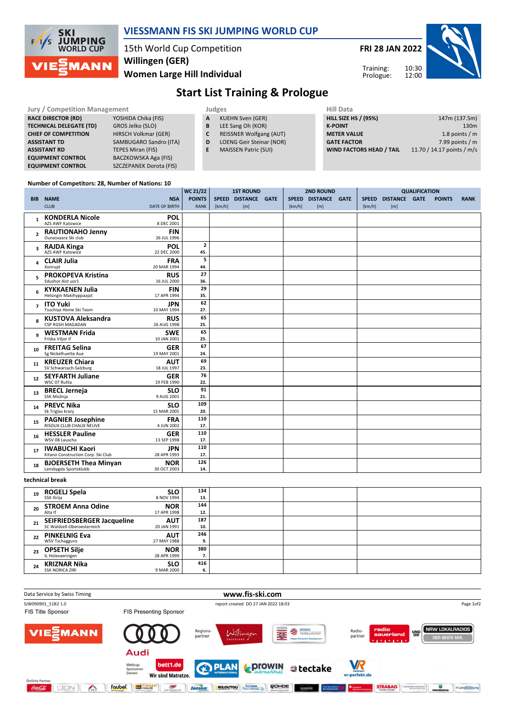

### VIESSMANN FIS SKI JUMPING WORLD CUP

15th World Cup Competition Willingen (GER)

Women Large Hill Individual

FRI 28 JAN 2022



Training: Prologue:

## Start List Training & Prologue

| <b>Jury / Competition Management</b> |                         |   | Judges                         | <b>Hill Data</b>            |                            |  |  |  |
|--------------------------------------|-------------------------|---|--------------------------------|-----------------------------|----------------------------|--|--|--|
| <b>RACE DIRECTOR (RD)</b>            | YOSHIDA Chika (FIS)     | A | <b>KUEHN Sven (GER)</b>        | <b>HILL SIZE HS / (95%)</b> | 147m (137.5m)              |  |  |  |
| <b>TECHNICAL DELEGATE (TD)</b>       | GROS Jelko (SLO)        | B | LEE Sang Oh (KOR)              | <b>K-POINT</b>              | 130 <sub>m</sub>           |  |  |  |
| <b>CHIEF OF COMPETITION</b>          | HIRSCH Volkmar (GER)    | C | <b>REISSNER Wolfgang (AUT)</b> | <b>METER VALUE</b>          | 1.8 points $/m$            |  |  |  |
| <b>ASSISTANT TD</b>                  | SAMBUGARO Sandro (ITA)  | D | LOENG Geir Steinar (NOR)       | <b>GATE FACTOR</b>          | 7.99 points $/m$           |  |  |  |
| <b>ASSISTANT RD</b>                  | TEPES Miran (FIS)       |   | <b>MAISSEN Patric (SUI)</b>    | WIND FACTORS HEAD / TAIL    | 11.70 / 14.17 points / m/s |  |  |  |
| <b>EQUIPMENT CONTROL</b>             | BACZKOWSKA Aga (FIS)    |   |                                |                             |                            |  |  |  |
| <b>EQUIPMENT CONTROL</b>             | SZCZEPANEK Dorota (FIS) |   |                                |                             |                            |  |  |  |

#### Number of Competitors: 28, Number of Nations: 10

|                |                                                     |                           | WC 21/22       | <b>1ST ROUND</b> |                     |  |        | <b>2ND ROUND</b>    |  |        | <b>QUALIFICATION</b> |  |               |             |
|----------------|-----------------------------------------------------|---------------------------|----------------|------------------|---------------------|--|--------|---------------------|--|--------|----------------------|--|---------------|-------------|
|                | <b>BIB NAME</b>                                     | <b>NSA</b>                | <b>POINTS</b>  |                  | SPEED DISTANCE GATE |  |        | SPEED DISTANCE GATE |  |        | SPEED DISTANCE GATE  |  | <b>POINTS</b> | <b>RANK</b> |
|                | <b>CLUB</b>                                         | <b>DATE OF BIRTH</b>      | <b>RANK</b>    | [km/h]           | [m]                 |  | [km/h] | [m]                 |  | [km/h] | [m]                  |  |               |             |
|                |                                                     |                           |                |                  |                     |  |        |                     |  |        |                      |  |               |             |
| $\mathbf{1}$   | <b>KONDERLA Nicole</b><br>AZS AWF Katowice          | <b>POL</b><br>8 DEC 2001  |                |                  |                     |  |        |                     |  |        |                      |  |               |             |
|                | <b>RAUTIONAHO Jenny</b>                             | <b>FIN</b>                |                |                  |                     |  |        |                     |  |        |                      |  |               |             |
| $\overline{2}$ | Ounasyaara Ski club                                 | 26 JUL 1996               |                |                  |                     |  |        |                     |  |        |                      |  |               |             |
|                | 3 RAJDA Kinga                                       | POL                       | $\overline{2}$ |                  |                     |  |        |                     |  |        |                      |  |               |             |
|                | AZS AWF Katowice                                    | 22 DEC 2000               | 45.            |                  |                     |  |        |                     |  |        |                      |  |               |             |
| 4              | <b>CLAIR Julia</b>                                  | <b>FRA</b>                | 5              |                  |                     |  |        |                     |  |        |                      |  |               |             |
|                | Xonrupt                                             | 20 MAR 1994               | 44.            |                  |                     |  |        |                     |  |        |                      |  |               |             |
| 5              | <b>PROKOPEVA Kristina</b>                           | <b>RUS</b>                | 27             |                  |                     |  |        |                     |  |        |                      |  |               |             |
|                | Sdushor Aist uor1                                   | 16 JUL 2000               | 36.            |                  |                     |  |        |                     |  |        |                      |  |               |             |
| 6              | <b>KYKKAENEN Julia</b>                              | <b>FIN</b>                | 29             |                  |                     |  |        |                     |  |        |                      |  |               |             |
|                | Helsingin Makihyppaajat                             | 17 APR 1994               | 35.            |                  |                     |  |        |                     |  |        |                      |  |               |             |
| $\overline{ }$ | <b>ITO Yuki</b>                                     | <b>JPN</b>                | 62             |                  |                     |  |        |                     |  |        |                      |  |               |             |
|                | Tsuchiya Home Ski Team                              | 10 MAY 1994               | 27.            |                  |                     |  |        |                     |  |        |                      |  |               |             |
| 8              | <b>KUSTOVA Aleksandra</b><br>CSP RGSH MAGADAN       | <b>RUS</b>                | 65<br>25.      |                  |                     |  |        |                     |  |        |                      |  |               |             |
|                |                                                     | 26 AUG 1998               | 65             |                  |                     |  |        |                     |  |        |                      |  |               |             |
| q              | <b>WESTMAN Frida</b><br>Friska Viljor if            | <b>SWE</b><br>10 JAN 2001 | 25.            |                  |                     |  |        |                     |  |        |                      |  |               |             |
|                | <b>FREITAG Selina</b>                               | <b>GER</b>                | 67             |                  |                     |  |        |                     |  |        |                      |  |               |             |
| 10             | Sg Nickelhuette Aue                                 | 19 MAY 2001               | 24.            |                  |                     |  |        |                     |  |        |                      |  |               |             |
|                | <b>KREUZER Chiara</b>                               | <b>AUT</b>                | 69             |                  |                     |  |        |                     |  |        |                      |  |               |             |
| 11             | SV Schwarzach-Salzburg                              | 18 JUL 1997               | 23.            |                  |                     |  |        |                     |  |        |                      |  |               |             |
| 12             | <b>SEYFARTH Juliane</b>                             | <b>GER</b>                | 76             |                  |                     |  |        |                     |  |        |                      |  |               |             |
|                | WSC 07 Ruhla                                        | 19 FEB 1990               | 22.            |                  |                     |  |        |                     |  |        |                      |  |               |             |
| 13             | <b>BRECL Jerneja</b>                                | <b>SLO</b>                | 91             |                  |                     |  |        |                     |  |        |                      |  |               |             |
|                | SSK Mislinja                                        | 9 AUG 2001                | 21.            |                  |                     |  |        |                     |  |        |                      |  |               |             |
| 14             | <b>PREVC Nika</b>                                   | <b>SLO</b>                | 109            |                  |                     |  |        |                     |  |        |                      |  |               |             |
|                | Sk Triglav kranj                                    | 15 MAR 2005               | 20.            |                  |                     |  |        |                     |  |        |                      |  |               |             |
| 15             | <b>PAGNIER Josephine</b><br>RISOUX CLUB CHAUX NEUVE | <b>FRA</b><br>4 JUN 2002  | 110<br>17.     |                  |                     |  |        |                     |  |        |                      |  |               |             |
|                |                                                     |                           | 110            |                  |                     |  |        |                     |  |        |                      |  |               |             |
| 16             | <b>HESSLER Pauline</b><br>WSV 08 Lauscha            | <b>GER</b><br>13 SEP 1998 | 17.            |                  |                     |  |        |                     |  |        |                      |  |               |             |
|                | <b>IWABUCHI Kaori</b>                               | <b>JPN</b>                | 110            |                  |                     |  |        |                     |  |        |                      |  |               |             |
| 17             | Kitano Construction Corp. Ski Club                  | 28 APR 1993               | 17.            |                  |                     |  |        |                     |  |        |                      |  |               |             |
|                | <b>BJOERSETH Thea Minyan</b>                        | <b>NOR</b>                | 126            |                  |                     |  |        |                     |  |        |                      |  |               |             |
| 18             | Lensbygda Sportsklubb                               | 30 OCT 2003               | 14.            |                  |                     |  |        |                     |  |        |                      |  |               |             |

#### technical break

| 19 | ROGELJ Spela<br>SSK Ilirija                               | <b>SLO</b><br>8 NOV 1994  | 134<br>13.   |  |  |
|----|-----------------------------------------------------------|---------------------------|--------------|--|--|
| 20 | <b>STROEM Anna Odine</b><br>Alta If                       | <b>NOR</b><br>17 APR 1998 | 144<br>12.   |  |  |
| 21 | SEIFRIEDSBERGER Jacqueline<br>SC Waldzell-Oberoesterreich | <b>AUT</b><br>20 JAN 1991 | 187<br>10.   |  |  |
| 22 | <b>PINKELNIG Eva</b><br><b>WSV Tschagguns</b>             | <b>AUT</b><br>27 MAY 1988 | 246<br>9.    |  |  |
| 23 | <b>OPSETH Silje</b><br>IL Holevaeringen                   | <b>NOR</b><br>28 APR 1999 | 380<br>⇁<br> |  |  |
| 24 | <b>KRIZNAR Nika</b><br><b>SSK NORICA ZIRI</b>             | <b>SLO</b><br>9 MAR 2000  | 416<br>6.    |  |  |